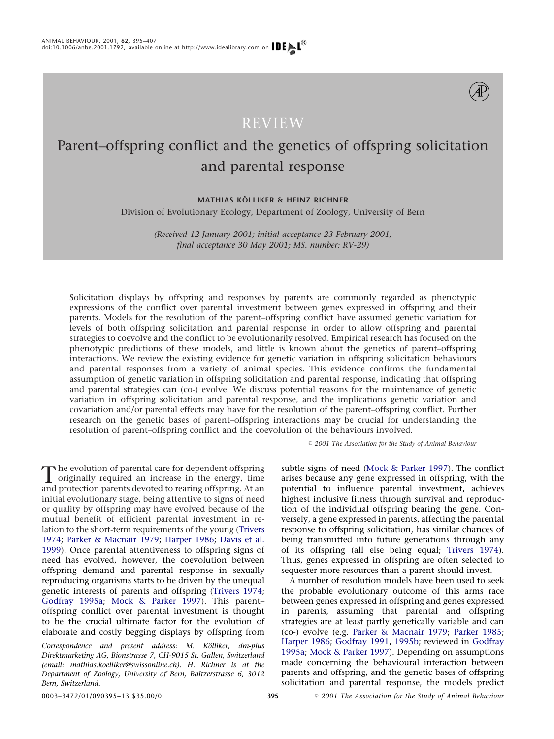

# REVIEW

# Parent–offspring conflict and the genetics of offspring solicitation and parental response

## **MATHIAS KO**} **LLIKER & HEINZ RICHNER**

Division of Evolutionary Ecology, Department of Zoology, University of Bern

*(Received 12 January 2001; initial acceptance 23 February 2001; final acceptance 30 May 2001; MS. number: RV-29)*

Solicitation displays by offspring and responses by parents are commonly regarded as phenotypic expressions of the conflict over parental investment between genes expressed in offspring and their parents. Models for the resolution of the parent–offspring conflict have assumed genetic variation for levels of both offspring solicitation and parental response in order to allow offspring and parental strategies to coevolve and the conflict to be evolutionarily resolved. Empirical research has focused on the phenotypic predictions of these models, and little is known about the genetics of parent–offspring interactions. We review the existing evidence for genetic variation in offspring solicitation behaviours and parental responses from a variety of animal species. This evidence confirms the fundamental assumption of genetic variation in offspring solicitation and parental response, indicating that offspring and parental strategies can (co-) evolve. We discuss potential reasons for the maintenance of genetic variation in offspring solicitation and parental response, and the implications genetic variation and covariation and/or parental effects may have for the resolution of the parent–offspring conflict. Further research on the genetic bases of parent–offspring interactions may be crucial for understanding the resolution of parent–offspring conflict and the coevolution of the behaviours involved.

*2001 The Association for the Study of Animal Behaviour*

The evolution of parental care for dependent offspring<br>originally required an increase in the energy, time<br>and protection parents devoted to regring offspring. At an and protection parents devoted to rearing offspring. At an initial evolutionary stage, being attentive to signs of need or quality by offspring may have evolved because of the mutual benefit of efficient parental investment in relation to the short-term requirements of the young [\(Trivers](#page-12-0) [1974;](#page-12-0) [Parker & Macnair 1979;](#page-11-0) [Harper 1986;](#page-10-0) [Davis et al.](#page-10-1) [1999\)](#page-10-1). Once parental attentiveness to offspring signs of need has evolved, however, the coevolution between offspring demand and parental response in sexually reproducing organisms starts to be driven by the unequal genetic interests of parents and offspring [\(Trivers 1974;](#page-12-0) [Godfray 1995a;](#page-10-2) [Mock & Parker 1997\)](#page-11-1). This parent– offspring conflict over parental investment is thought to be the crucial ultimate factor for the evolution of elaborate and costly begging displays by offspring from

Correspondence and present address: M. Kölliker, dm-plus *Direktmarketing AG, Bionstrasse 7, CH-9015 St. Gallen, Switzerland (email: mathias.koelliker@swissonline.ch). H. Richner is at the Department of Zoology, University of Bern, Baltzerstrasse 6, 3012 Bern, Switzerland.*

subtle signs of need [\(Mock & Parker 1997\)](#page-11-1). The conflict arises because any gene expressed in offspring, with the potential to influence parental investment, achieves highest inclusive fitness through survival and reproduction of the individual offspring bearing the gene. Conversely, a gene expressed in parents, affecting the parental response to offspring solicitation, has similar chances of being transmitted into future generations through any of its offspring (all else being equal; [Trivers 1974\)](#page-12-0). Thus, genes expressed in offspring are often selected to sequester more resources than a parent should invest.

A number of resolution models have been used to seek the probable evolutionary outcome of this arms race between genes expressed in offspring and genes expressed in parents, assuming that parental and offspring strategies are at least partly genetically variable and can (co-) evolve (e.g. [Parker & Macnair 1979;](#page-11-0) [Parker 1985;](#page-11-2) [Harper 1986;](#page-10-0) [Godfray 1991,](#page-10-3) [1995b;](#page-10-4) reviewed in [Godfray](#page-10-2) [1995a;](#page-10-2) [Mock & Parker 1997\)](#page-11-1). Depending on assumptions made concerning the behavioural interaction between parents and offspring, and the genetic bases of offspring solicitation and parental response, the models predict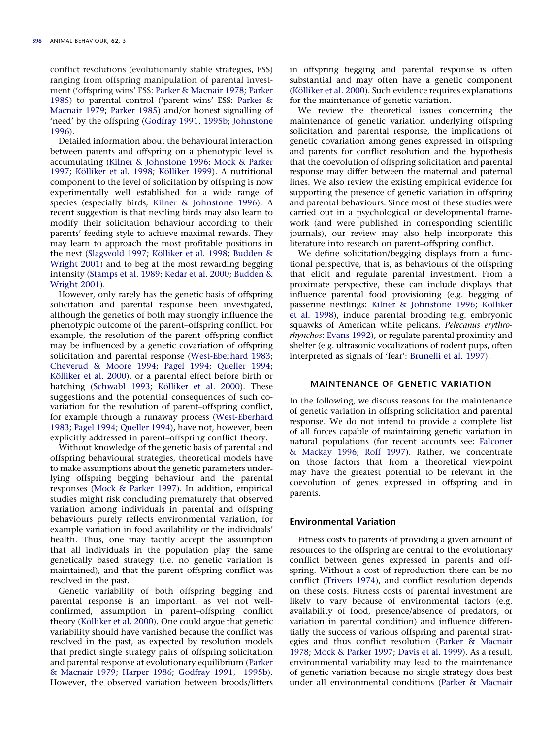conflict resolutions (evolutionarily stable strategies, ESS) ranging from offspring manipulation of parental investment ('offspring wins' ESS: [Parker & Macnair 1978;](#page-11-3) [Parker](#page-11-4) [1985\)](#page-11-4) to parental control ('parent wins' ESS: [Parker &](#page-11-0) [Macnair 1979;](#page-11-0) [Parker 1985\)](#page-11-2) and/or honest signalling of 'need' by the offspring [\(Godfray 1991,](#page-10-3) [1995b;](#page-10-4) [Johnstone](#page-11-5) [1996\)](#page-11-5).

Detailed information about the behavioural interaction between parents and offspring on a phenotypic level is accumulating [\(Kilner & Johnstone 1996;](#page-11-6) [Mock & Parker](#page-11-1) [1997;](#page-11-1) Kölliker et al. 1998; Kölliker 1999). A nutritional component to the level of solicitation by offspring is now experimentally well established for a wide range of species (especially birds; [Kilner & Johnstone 1996\)](#page-11-6). A recent suggestion is that nestling birds may also learn to modify their solicitation behaviour according to their parents' feeding style to achieve maximal rewards. They may learn to approach the most profitable positions in the nest [\(Slagsvold 1997;](#page-11-9) Kölliker et al. 1998; [Budden &](#page-10-5) [Wright 2001\)](#page-10-5) and to beg at the most rewarding begging intensity [\(Stamps et al. 1989;](#page-11-10) [Kedar et al. 2000;](#page-11-11) [Budden &](#page-10-5) [Wright 2001\)](#page-10-5).

However, only rarely has the genetic basis of offspring solicitation and parental response been investigated, although the genetics of both may strongly influence the phenotypic outcome of the parent–offspring conflict. For example, the resolution of the parent–offspring conflict may be influenced by a genetic covariation of offspring solicitation and parental response [\(West-Eberhard 1983;](#page-12-1) [Cheverud & Moore 1994;](#page-10-6) [Pagel 1994;](#page-11-4) [Queller 1994;](#page-11-12) Kölliker et al. 2000), or a parental effect before birth or hatching [\(Schwabl 1993;](#page-11-14) Kölliker et al. 2000). These suggestions and the potential consequences of such covariation for the resolution of parent–offspring conflict, for example through a runaway process [\(West-Eberhard](#page-12-1) [1983;](#page-12-1) [Pagel 1994;](#page-11-4) [Queller 1994\)](#page-11-12), have not, however, been explicitly addressed in parent–offspring conflict theory.

Without knowledge of the genetic basis of parental and offspring behavioural strategies, theoretical models have to make assumptions about the genetic parameters underlying offspring begging behaviour and the parental responses [\(Mock & Parker 1997\)](#page-11-1). In addition, empirical studies might risk concluding prematurely that observed variation among individuals in parental and offspring behaviours purely reflects environmental variation, for example variation in food availability or the individuals' health. Thus, one may tacitly accept the assumption that all individuals in the population play the same genetically based strategy (i.e. no genetic variation is maintained), and that the parent–offspring conflict was resolved in the past.

Genetic variability of both offspring begging and parental response is an important, as yet not wellconfirmed, assumption in parent–offspring conflict theory (Kölliker et al. 2000). One could argue that genetic variability should have vanished because the conflict was resolved in the past, as expected by resolution models that predict single strategy pairs of offspring solicitation and parental response at evolutionary equilibrium [\(Parker](#page-11-0) [& Macnair 1979;](#page-11-0) [Harper 1986;](#page-10-0) [Godfray 1991,](#page-10-3) [1995b\)](#page-10-4). However, the observed variation between broods/litters

in offspring begging and parental response is often substantial and may often have a genetic component (Kölliker et al. 2000). Such evidence requires explanations for the maintenance of genetic variation.

We review the theoretical issues concerning the maintenance of genetic variation underlying offspring solicitation and parental response, the implications of genetic covariation among genes expressed in offspring and parents for conflict resolution and the hypothesis that the coevolution of offspring solicitation and parental response may differ between the maternal and paternal lines. We also review the existing empirical evidence for supporting the presence of genetic variation in offspring and parental behaviours. Since most of these studies were carried out in a psychological or developmental framework (and were published in corresponding scientific journals), our review may also help incorporate this literature into research on parent–offspring conflict.

We define solicitation/begging displays from a functional perspective, that is, as behaviours of the offspring that elicit and regulate parental investment. From a proximate perspective, these can include displays that influence parental food provisioning (e.g. begging of passerine nestlings: [Kilner & Johnstone 1996;](#page-11-6) Kölliker [et al. 1998\)](#page-11-7), induce parental brooding (e.g. embryonic squawks of American white pelicans, *Pelecanus erythrorhynchos*: [Evans 1992\)](#page-10-7), or regulate parental proximity and shelter (e.g. ultrasonic vocalizations of rodent pups, often interpreted as signals of 'fear': [Brunelli et al. 1997\)](#page-10-8).

## **MAINTENANCE OF GENETIC VARIATION**

In the following, we discuss reasons for the maintenance of genetic variation in offspring solicitation and parental response. We do not intend to provide a complete list of all forces capable of maintaining genetic variation in natural populations (for recent accounts see: [Falconer](#page-10-9) [& Mackay 1996;](#page-10-9) [Roff 1997\)](#page-11-15). Rather, we concentrate on those factors that from a theoretical viewpoint may have the greatest potential to be relevant in the coevolution of genes expressed in offspring and in parents.

#### **Environmental Variation**

Fitness costs to parents of providing a given amount of resources to the offspring are central to the evolutionary conflict between genes expressed in parents and offspring. Without a cost of reproduction there can be no conflict [\(Trivers 1974\)](#page-12-0), and conflict resolution depends on these costs. Fitness costs of parental investment are likely to vary because of environmental factors (e.g. availability of food, presence/absence of predators, or variation in parental condition) and influence differentially the success of various offspring and parental strategies and thus conflict resolution [\(Parker & Macnair](#page-11-3) [1978;](#page-11-3) [Mock & Parker 1997;](#page-11-1) [Davis et al. 1999\)](#page-10-1). As a result, environmental variability may lead to the maintenance of genetic variation because no single strategy does best under all environmental conditions [\(Parker & Macnair](#page-11-3)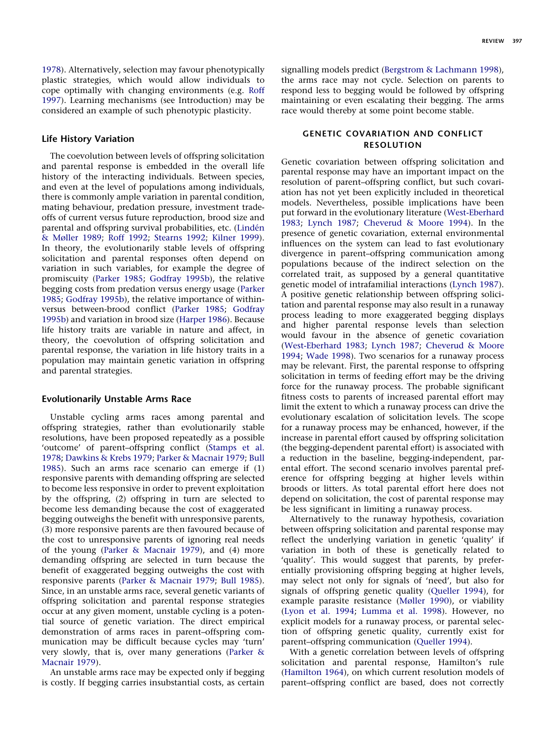[1978\)](#page-11-3). Alternatively, selection may favour phenotypically plastic strategies, which would allow individuals to cope optimally with changing environments (e.g. [Roff](#page-11-15) [1997\)](#page-11-15). Learning mechanisms (see Introduction) may be considered an example of such phenotypic plasticity.

#### **Life History Variation**

The coevolution between levels of offspring solicitation and parental response is embedded in the overall life history of the interacting individuals. Between species, and even at the level of populations among individuals, there is commonly ample variation in parental condition, mating behaviour, predation pressure, investment tradeoffs of current versus future reproduction, brood size and parental and offspring survival probabilities, etc. (Lindén) [& Møller 1989;](#page-11-16) [Roff 1992;](#page-11-17) [Stearns 1992;](#page-11-18) [Kilner 1999\)](#page-11-19). In theory, the evolutionarily stable levels of offspring solicitation and parental responses often depend on variation in such variables, for example the degree of promiscuity [\(Parker 1985;](#page-11-2) [Godfray 1995b\)](#page-10-4), the relative begging costs from predation versus energy usage [\(Parker](#page-11-2) [1985;](#page-11-2) [Godfray 1995b\)](#page-10-4), the relative importance of withinversus between-brood conflict [\(Parker 1985;](#page-11-2) [Godfray](#page-10-4) [1995b\)](#page-10-4) and variation in brood size [\(Harper 1986\)](#page-10-0). Because life history traits are variable in nature and affect, in theory, the coevolution of offspring solicitation and parental response, the variation in life history traits in a population may maintain genetic variation in offspring and parental strategies.

#### **Evolutionarily Unstable Arms Race**

Unstable cycling arms races among parental and offspring strategies, rather than evolutionarily stable resolutions, have been proposed repeatedly as a possible 'outcome' of parent–offspring conflict [\(Stamps et al.](#page-11-20) [1978;](#page-11-20) [Dawkins & Krebs 1979;](#page-10-10) [Parker & Macnair 1979;](#page-11-0) [Bull](#page-10-11) [1985\)](#page-10-11). Such an arms race scenario can emerge if (1) responsive parents with demanding offspring are selected to become less responsive in order to prevent exploitation by the offspring, (2) offspring in turn are selected to become less demanding because the cost of exaggerated begging outweighs the benefit with unresponsive parents, (3) more responsive parents are then favoured because of the cost to unresponsive parents of ignoring real needs of the young [\(Parker & Macnair 1979\)](#page-11-0), and (4) more demanding offspring are selected in turn because the benefit of exaggerated begging outweighs the cost with responsive parents [\(Parker & Macnair 1979;](#page-11-0) [Bull 1985\)](#page-10-11). Since, in an unstable arms race, several genetic variants of offspring solicitation and parental response strategies occur at any given moment, unstable cycling is a potential source of genetic variation. The direct empirical demonstration of arms races in parent–offspring communication may be difficult because cycles may 'turn' very slowly, that is, over many generations [\(Parker &](#page-11-0) [Macnair 1979\)](#page-11-0).

An unstable arms race may be expected only if begging is costly. If begging carries insubstantial costs, as certain signalling models predict [\(Bergstrom & Lachmann 1998\)](#page-10-12), the arms race may not cycle. Selection on parents to respond less to begging would be followed by offspring maintaining or even escalating their begging. The arms race would thereby at some point become stable.

# **GENETIC COVARIATION AND CONFLICT RESOLUTION**

Genetic covariation between offspring solicitation and parental response may have an important impact on the resolution of parent–offspring conflict, but such covariation has not yet been explicitly included in theoretical models. Nevertheless, possible implications have been put forward in the evolutionary literature [\(West-Eberhard](#page-12-1) [1983;](#page-12-1) [Lynch 1987;](#page-11-21) [Cheverud & Moore 1994\)](#page-10-6). In the presence of genetic covariation, external environmental influences on the system can lead to fast evolutionary divergence in parent–offspring communication among populations because of the indirect selection on the correlated trait, as supposed by a general quantitative genetic model of intrafamilial interactions [\(Lynch 1987\)](#page-11-21). A positive genetic relationship between offspring solicitation and parental response may also result in a runaway process leading to more exaggerated begging displays and higher parental response levels than selection would favour in the absence of genetic covariation [\(West-Eberhard 1983;](#page-12-1) [Lynch 1987;](#page-11-21) [Cheverud & Moore](#page-10-6) [1994;](#page-10-6) [Wade 1998\)](#page-12-2). Two scenarios for a runaway process may be relevant. First, the parental response to offspring solicitation in terms of feeding effort may be the driving force for the runaway process. The probable significant fitness costs to parents of increased parental effort may limit the extent to which a runaway process can drive the evolutionary escalation of solicitation levels. The scope for a runaway process may be enhanced, however, if the increase in parental effort caused by offspring solicitation (the begging-dependent parental effort) is associated with a reduction in the baseline, begging-independent, parental effort. The second scenario involves parental preference for offspring begging at higher levels within broods or litters. As total parental effort here does not depend on solicitation, the cost of parental response may be less significant in limiting a runaway process.

Alternatively to the runaway hypothesis, covariation between offspring solicitation and parental response may reflect the underlying variation in genetic 'quality' if variation in both of these is genetically related to 'quality'. This would suggest that parents, by preferentially provisioning offspring begging at higher levels, may select not only for signals of 'need', but also for signals of offspring genetic quality [\(Queller 1994\)](#page-11-12), for example parasite resistance [\(Møller 1990\)](#page-11-22), or viability [\(Lyon et al. 1994;](#page-11-23) [Lumma et al. 1998\)](#page-11-24). However, no explicit models for a runaway process, or parental selection of offspring genetic quality, currently exist for parent–offspring communication [\(Queller 1994\)](#page-11-12).

With a genetic correlation between levels of offspring solicitation and parental response, Hamilton's rule [\(Hamilton 1964\)](#page-10-13), on which current resolution models of parent–offspring conflict are based, does not correctly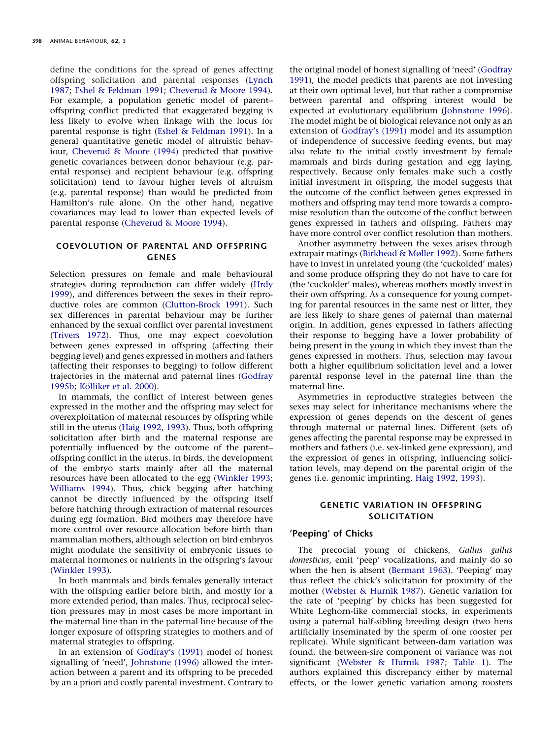define the conditions for the spread of genes affecting offspring solicitation and parental responses [\(Lynch](#page-11-21) [1987;](#page-11-21) [Eshel & Feldman 1991;](#page-10-14) [Cheverud & Moore 1994\)](#page-10-6). For example, a population genetic model of parent– offspring conflict predicted that exaggerated begging is less likely to evolve when linkage with the locus for parental response is tight [\(Eshel & Feldman 1991\)](#page-10-14). In a general quantitative genetic model of altruistic behaviour, [Cheverud & Moore \(1994\)](#page-10-6) predicted that positive genetic covariances between donor behaviour (e.g. parental response) and recipient behaviour (e.g. offspring solicitation) tend to favour higher levels of altruism (e.g. parental response) than would be predicted from Hamilton's rule alone. On the other hand, negative covariances may lead to lower than expected levels of parental response [\(Cheverud & Moore 1994\)](#page-10-6).

# **COEVOLUTION OF PARENTAL AND OFFSPRING GENES**

Selection pressures on female and male behavioural strategies during reproduction can differ widely [\(Hrdy](#page-10-15) [1999\)](#page-10-15), and differences between the sexes in their reproductive roles are common [\(Clutton-Brock 1991\)](#page-10-16). Such sex differences in parental behaviour may be further enhanced by the sexual conflict over parental investment [\(Trivers 1972\)](#page-12-3). Thus, one may expect coevolution between genes expressed in offspring (affecting their begging level) and genes expressed in mothers and fathers (affecting their responses to begging) to follow different trajectories in the maternal and paternal lines [\(Godfray](#page-10-4) [1995b;](#page-10-4) Kölliker et al. 2000).

In mammals, the conflict of interest between genes expressed in the mother and the offspring may select for overexploitation of maternal resources by offspring while still in the uterus [\(Haig 1992,](#page-10-17) [1993\)](#page-10-18). Thus, both offspring solicitation after birth and the maternal response are potentially influenced by the outcome of the parent– offspring conflict in the uterus. In birds, the development of the embryo starts mainly after all the maternal resources have been allocated to the egg [\(Winkler 1993;](#page-12-4) [Williams 1994\)](#page-12-5). Thus, chick begging after hatching cannot be directly influenced by the offspring itself before hatching through extraction of maternal resources during egg formation. Bird mothers may therefore have more control over resource allocation before birth than mammalian mothers, although selection on bird embryos might modulate the sensitivity of embryonic tissues to maternal hormones or nutrients in the offspring's favour [\(Winkler 1993\)](#page-12-4).

In both mammals and birds females generally interact with the offspring earlier before birth, and mostly for a more extended period, than males. Thus, reciprocal selection pressures may in most cases be more important in the maternal line than in the paternal line because of the longer exposure of offspring strategies to mothers and of maternal strategies to offspring.

In an extension of [Godfray's \(1991\)](#page-10-3) model of honest signalling of 'need', [Johnstone \(1996\)](#page-11-5) allowed the interaction between a parent and its offspring to be preceded by an a priori and costly parental investment. Contrary to

the original model of honest signalling of 'need' [\(Godfray](#page-10-3) [1991\)](#page-10-3), the model predicts that parents are not investing at their own optimal level, but that rather a compromise between parental and offspring interest would be expected at evolutionary equilibrium [\(Johnstone 1996\)](#page-11-5). The model might be of biological relevance not only as an extension of [Godfray's \(1991\)](#page-10-3) model and its assumption of independence of successive feeding events, but may also relate to the initial costly investment by female mammals and birds during gestation and egg laying, respectively. Because only females make such a costly initial investment in offspring, the model suggests that the outcome of the conflict between genes expressed in mothers and offspring may tend more towards a compromise resolution than the outcome of the conflict between genes expressed in fathers and offspring. Fathers may have more control over conflict resolution than mothers.

Another asymmetry between the sexes arises through extrapair matings [\(Birkhead & Møller 1992\)](#page-10-19). Some fathers have to invest in unrelated young (the 'cuckolded' males) and some produce offspring they do not have to care for (the 'cuckolder' males), whereas mothers mostly invest in their own offspring. As a consequence for young competing for parental resources in the same nest or litter, they are less likely to share genes of paternal than maternal origin. In addition, genes expressed in fathers affecting their response to begging have a lower probability of being present in the young in which they invest than the genes expressed in mothers. Thus, selection may favour both a higher equilibrium solicitation level and a lower parental response level in the paternal line than the maternal line.

Asymmetries in reproductive strategies between the sexes may select for inheritance mechanisms where the expression of genes depends on the descent of genes through maternal or paternal lines. Different (sets of) genes affecting the parental response may be expressed in mothers and fathers (i.e. sex-linked gene expression), and the expression of genes in offspring, influencing solicitation levels, may depend on the parental origin of the genes (i.e. genomic imprinting, [Haig 1992,](#page-10-17) [1993\)](#page-10-18).

# **GENETIC VARIATION IN OFFSPRING SOLICITATION**

## **'Peeping' of Chicks**

The precocial young of chickens, *Gallus gallus domesticus*, emit 'peep' vocalizations, and mainly do so when the hen is absent [\(Bermant 1963\)](#page-10-20). 'Peeping' may thus reflect the chick's solicitation for proximity of the mother [\(Webster & Hurnik 1987\)](#page-12-6). Genetic variation for the rate of 'peeping' by chicks has been suggested for White Leghorn-like commercial stocks, in experiments using a paternal half-sibling breeding design (two hens artificially inseminated by the sperm of one rooster per replicate). While significant between-dam variation was found, the between-sire component of variance was not significant [\(Webster & Hurnik 1987;](#page-12-6) [Table 1\)](#page-4-0). The authors explained this discrepancy either by maternal effects, or the lower genetic variation among roosters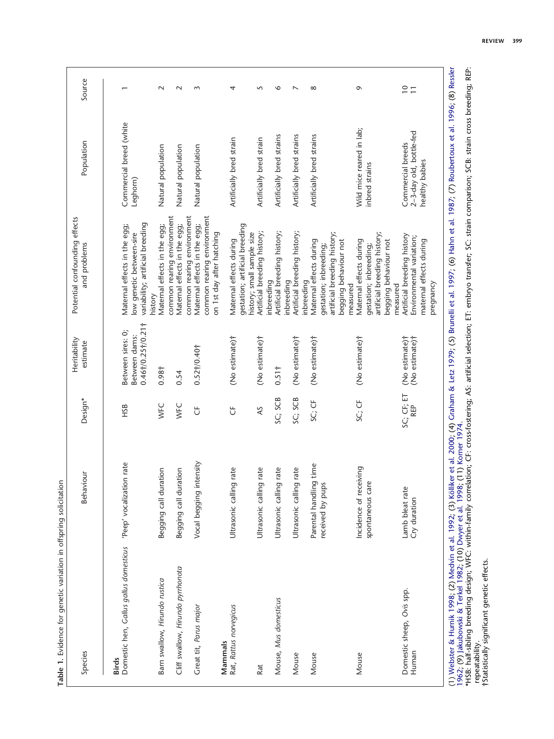<span id="page-4-0"></span>

| Source                                        |                                                                                             | $\sim$                                 | $\sim$                                                      | 3                                                                                                                     | 4                                                         | 5                                                          | $\circ$                                   | $\overline{ }$                            | $^{\circ}$                                                                                     | G                                                                                                                                               | $\frac{0}{1}$<br>$\overline{1}$                                                                             |
|-----------------------------------------------|---------------------------------------------------------------------------------------------|----------------------------------------|-------------------------------------------------------------|-----------------------------------------------------------------------------------------------------------------------|-----------------------------------------------------------|------------------------------------------------------------|-------------------------------------------|-------------------------------------------|------------------------------------------------------------------------------------------------|-------------------------------------------------------------------------------------------------------------------------------------------------|-------------------------------------------------------------------------------------------------------------|
| Population                                    | Commercial breed (white<br>Leghorn)                                                         | Natural population                     | Natural population                                          | Natural population                                                                                                    | Artificially bred strain                                  | Artificially bred strain                                   | Artificially bred strains                 | Artificially bred strains                 | Artificially bred strains                                                                      | Wild mice reared in lab;<br>inbred strains                                                                                                      | 2-3-day old, bottle-fed<br>Commercial breeds<br>healthy babies                                              |
| Potential confounding effects<br>and problems | variability; artificial breeding<br>Maternal effects in the egg;<br>ow genetic between-sire | Matemal effects in the egg;<br>history | common rearing environment<br>Vlaternal effects in the egg; | common rearing environment<br>common rearing environment<br>Maternal effects in the egg;<br>on 1st day after hatching | gestation; artificial breeding<br>Maternal effects during | Artificial breeding history;<br>nistory; small sample size | Artificial breeding history;<br>nbreeding | Artificial breeding history;<br>nbreeding | artificial breeding history;<br>Maternal effects during<br>gestation; inbreeding;<br>nbreeding | artificial breeding history;<br>begging behaviour not<br>begging behaviour not<br>Maternal effects during<br>gestation; inbreeding;<br>measured | Artificial breeding history<br>Environmental variation;<br>maternal effects during<br>pregnancy<br>measured |
| Heritability<br>estimate                      | $0.46$ t $/0.25$ t $/0.21$ t<br>Between sires: 0;<br>Between dams:                          | $0.98\dagger$                          | 0.54                                                        | $0.52\frac{1}{0.40}$                                                                                                  | (No estimate) <sup>†</sup>                                | (No estimate) <sup>†</sup>                                 | $0.51\dagger$                             | (No estimate)†                            | (No estimate)†                                                                                 | (No estimate)†                                                                                                                                  | (No estimate) <sup>†</sup><br>(No estimate)†                                                                |
| Design*                                       | HSB                                                                                         | WFC                                    | WFC                                                         | Ğ                                                                                                                     | <b>უ</b>                                                  | $\lambda$ S                                                | SC; SCB                                   | SC; SCB                                   | SC; CF                                                                                         | SC; CF                                                                                                                                          | SC; CF; ET<br>REP                                                                                           |
| Behaviour                                     | 'Peep' vocalization rate                                                                    | Begging call duration                  | Begging call duration                                       | intensity<br>Vocal begging                                                                                            | ng rate<br>Ultrasonic callir                              | ng rate<br>Ultrasonic callin                               | Ultrasonic calling rate                   | Ultrasonic calling rate                   | Parental handling time<br>received by pups                                                     | Incidence of receiving<br>ıre<br>spontaneous ca                                                                                                 | Lamb bleat rate<br>Cry duration                                                                             |
| Species                                       | Domestic hen, Gallus gallus domesticus<br><b>Birds</b>                                      | Barn swallow, Hirundo rustica          | Cliff swallow, Hirundo pyrrhonota                           | Great tit, Parus major                                                                                                | Rat, Rattus norvegicus<br>Mammals                         | Rat                                                        | Mouse, Mus domesticus                     | Mouse                                     | Mouse                                                                                          | Mouse                                                                                                                                           | Domestic sheep, Ovis spp.<br>Human                                                                          |

(1) Webster & Humik 1998; (2) Medvin et al. 1992; (3) Kölliker et al. 2000; (4) Graham & Letz 1979; (5) Brunelli et al. 1997; (6) Hahn et al. 1987; (7) Roubertoux et al. 1996; (8) Ressler<br>1962; (9) Jakubowski & Terkel 1982 (1) [Webster](#page-12-2) [&](#page-10-21) [Hurnik](#page-12-2) [1998;](#page-12-2) (2) [Medvin](#page-11-25) [et](#page-11-26) [al.](#page-11-26) [1992;](#page-11-25) (3) Kölliker et al. 1993; (4) [Graham](#page-10-21) & [Letz](#page-10-21) [1979;](#page-10-21) (5) [Brunelli](#page-10-8) et al. 1987; (6) [Hahn](#page-10-22) et al. [1987;](#page-10-22) (7) [Roubertoux](#page-11-26) et al. [1996;](#page-11-26) (8) [Ressler](#page-11-27) \*HSB: half-sibling breeding design; WFC: within-family correlation; CF: cross-fostering; AS: artificial selection; ET: embryo transfer; SC: strain comparison; SCB: strain cross breeding; REP: [1962;](#page-11-27) (9) [Jakubowski](#page-10-23) [&](#page-10-23) [Terkel](#page-10-23) [1982;](#page-10-23) (10) [Dwyer](#page-10-24) [et](#page-10-24) [al.](#page-10-24) [1998;](#page-10-24) (11) [Korner](#page-11-28) [1974.](#page-11-28) repeatability.

†Statistically significant genetic effects. **REVIEW 399**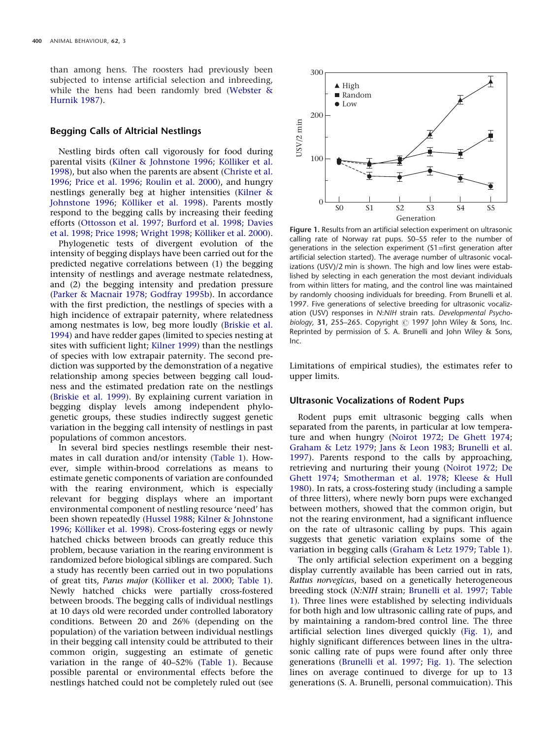than among hens. The roosters had previously been subjected to intense artificial selection and inbreeding, while the hens had been randomly bred [\(Webster &](#page-12-6) [Hurnik 1987\)](#page-12-6).

## **Begging Calls of Altricial Nestlings**

Nestling birds often call vigorously for food during parental visits [\(Kilner & Johnstone 1996;](#page-11-6) Kölliker et al. [1998\)](#page-11-7), but also when the parents are absent [\(Christe et al.](#page-10-25) [1996;](#page-10-25) [Price et al. 1996;](#page-11-29) [Roulin et al. 2000\)](#page-11-30), and hungry nestlings generally beg at higher intensities [\(Kilner &](#page-11-6) [Johnstone 1996;](#page-11-6) Kölliker et al. 1998). Parents mostly respond to the begging calls by increasing their feeding efforts [\(Ottosson et al. 1997;](#page-11-31) [Burford et al. 1998;](#page-10-26) [Davies](#page-10-27) [et al. 1998;](#page-10-27) [Price 1998;](#page-11-32) [Wright 1998;](#page-12-7) Kölliker et al. 2000).

Phylogenetic tests of divergent evolution of the intensity of begging displays have been carried out for the predicted negative correlations between (1) the begging intensity of nestlings and average nestmate relatedness, and (2) the begging intensity and predation pressure [\(Parker & Macnair 1978;](#page-10-28) [Godfray 1995b\)](#page-10-4). In accordance with the first prediction, the nestlings of species with a high incidence of extrapair paternity, where relatedness among nestmates is low, beg more loudly [\(Briskie et al.](#page-10-29) [1994\)](#page-10-29) and have redder gapes (limited to species nesting at sites with sufficient light; [Kilner 1999\)](#page-11-19) than the nestlings of species with low extrapair paternity. The second prediction was supported by the demonstration of a negative relationship among species between begging call loudness and the estimated predation rate on the nestlings [\(Briskie et al. 1999\)](#page-10-30). By explaining current variation in begging display levels among independent phylogenetic groups, these studies indirectly suggest genetic variation in the begging call intensity of nestlings in past populations of common ancestors.

In several bird species nestlings resemble their nestmates in call duration and/or intensity [\(Table 1\)](#page-4-0). However, simple within-brood correlations as means to estimate genetic components of variation are confounded with the rearing environment, which is especially relevant for begging displays where an important environmental component of nestling resource 'need' has been shown repeatedly [\(Hussel 1988;](#page-10-31) [Kilner & Johnstone](#page-11-6) [1996;](#page-11-6) Kölliker et al. 1998). Cross-fostering eggs or newly hatched chicks between broods can greatly reduce this problem, because variation in the rearing environment is randomized before biological siblings are compared. Such a study has recently been carried out in two populations of great tits, *Parus major* (Kölliker et al. 2000; [Table 1\)](#page-4-0). Newly hatched chicks were partially cross-fostered between broods. The begging calls of individual nestlings at 10 days old were recorded under controlled laboratory conditions. Between 20 and 26% (depending on the population) of the variation between individual nestlings in their begging call intensity could be attributed to their common origin, suggesting an estimate of genetic variation in the range of 40–52% [\(Table 1\)](#page-4-0). Because possible parental or environmental effects before the nestlings hatched could not be completely ruled out (see

<span id="page-5-0"></span>

**Figure 1.** Results from an artificial selection experiment on ultrasonic calling rate of Norway rat pups. S0–S5 refer to the number of generations in the selection experiment (S1=first generation after artificial selection started). The average number of ultrasonic vocalizations (USV)/2 min is shown. The high and low lines were established by selecting in each generation the most deviant individuals from within litters for mating, and the control line was maintained by randomly choosing individuals for breeding. From Brunelli et al. 1997. Five generations of selective breeding for ultrasonic vocalization (USV) responses in *N*:*NIH* strain rats. *Developmental Psychobiology,* **31**, 255–265. Copyright 1997 John Wiley & Sons, Inc. Reprinted by permission of S. A. Brunelli and John Wiley & Sons, Inc.

Limitations of empirical studies), the estimates refer to upper limits.

# **Ultrasonic Vocalizations of Rodent Pups**

Rodent pups emit ultrasonic begging calls when separated from the parents, in particular at low temperature and when hungry [\(Noirot 1972;](#page-11-33) [De Ghett 1974;](#page-10-32) [Graham & Letz 1979;](#page-10-21) [Jans & Leon 1983;](#page-11-34) [Brunelli et al.](#page-10-8) [1997\)](#page-10-8). Parents respond to the calls by approaching, retrieving and nurturing their young [\(Noirot 1972;](#page-11-33) [De](#page-10-32) [Ghett 1974;](#page-10-32) [Smotherman et al. 1978;](#page-11-35) [Kleese & Hull](#page-11-36) [1980\)](#page-11-36). In rats, a cross-fostering study (including a sample of three litters), where newly born pups were exchanged between mothers, showed that the common origin, but not the rearing environment, had a significant influence on the rate of ultrasonic calling by pups. This again suggests that genetic variation explains some of the variation in begging calls [\(Graham & Letz 1979;](#page-10-21) [Table 1\)](#page-4-0).

The only artificial selection experiment on a begging display currently available has been carried out in rats, *Rattus norvegicus*, based on a genetically heterogeneous breeding stock (*N:NIH* strain; [Brunelli et al. 1997;](#page-10-8) [Table](#page-4-0) [1\)](#page-4-0). Three lines were established by selecting individuals for both high and low ultrasonic calling rate of pups, and by maintaining a random-bred control line. The three artificial selection lines diverged quickly [\(Fig. 1\)](#page-5-0), and highly significant differences between lines in the ultrasonic calling rate of pups were found after only three generations [\(Brunelli et al. 1997;](#page-10-8) [Fig. 1\)](#page-5-0). The selection lines on average continued to diverge for up to 13 generations (S. A. Brunelli, personal commuication). This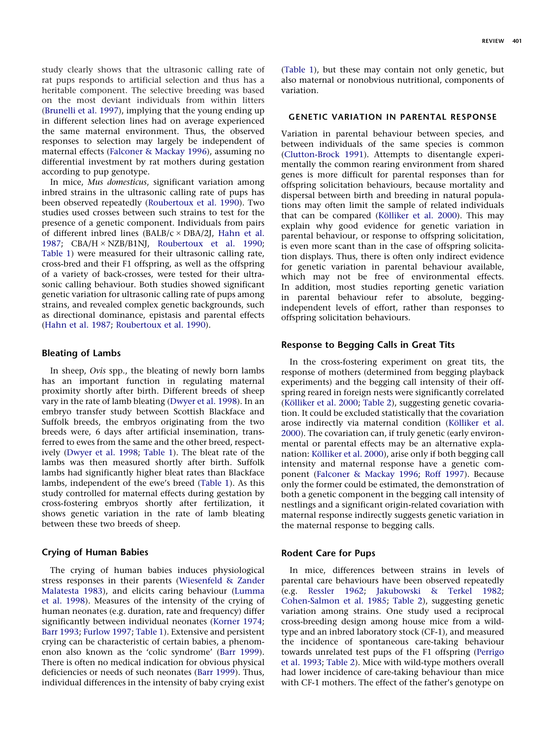study clearly shows that the ultrasonic calling rate of rat pups responds to artificial selection and thus has a heritable component. The selective breeding was based on the most deviant individuals from within litters [\(Brunelli et al. 1997\)](#page-10-8), implying that the young ending up in different selection lines had on average experienced the same maternal environment. Thus, the observed responses to selection may largely be independent of maternal effects [\(Falconer & Mackay 1996\)](#page-10-9), assuming no differential investment by rat mothers during gestation according to pup genotype.

In mice, *Mus domesticus*, significant variation among inbred strains in the ultrasonic calling rate of pups has been observed repeatedly [\(Roubertoux et al. 1990\)](#page-11-37). Two studies used crosses between such strains to test for the presence of a genetic component. Individuals from pairs of different inbred lines ( $BALB/c \times DBA/2J$ , [Hahn et al.](#page-10-22) [1987;](#page-10-22)  $CBA/H \times NZB/B1NJ$ , [Roubertoux et al. 1990;](#page-11-37) [Table 1\)](#page-4-0) were measured for their ultrasonic calling rate, cross-bred and their F1 offspring, as well as the offspring of a variety of back-crosses, were tested for their ultrasonic calling behaviour. Both studies showed significant genetic variation for ultrasonic calling rate of pups among strains, and revealed complex genetic backgrounds, such as directional dominance, epistasis and parental effects [\(Hahn et al. 1987;](#page-10-22) [Roubertoux et al. 1990\)](#page-11-37).

## **Bleating of Lambs**

In sheep, *Ovis* spp., the bleating of newly born lambs has an important function in regulating maternal proximity shortly after birth. Different breeds of sheep vary in the rate of lamb bleating [\(Dwyer et al. 1998\)](#page-10-24). In an embryo transfer study between Scottish Blackface and Suffolk breeds, the embryos originating from the two breeds were, 6 days after artificial insemination, transferred to ewes from the same and the other breed, respectively [\(Dwyer et al. 1998;](#page-10-24) [Table 1\)](#page-4-0). The bleat rate of the lambs was then measured shortly after birth. Suffolk lambs had significantly higher bleat rates than Blackface lambs, independent of the ewe's breed [\(Table 1\)](#page-4-0). As this study controlled for maternal effects during gestation by cross-fostering embryos shortly after fertilization, it shows genetic variation in the rate of lamb bleating between these two breeds of sheep.

#### **Crying of Human Babies**

The crying of human babies induces physiological stress responses in their parents [\(Wiesenfeld & Zander](#page-12-8) [Malatesta 1983\)](#page-12-8), and elicits caring behaviour [\(Lumma](#page-11-24) [et al. 1998\)](#page-11-24). Measures of the intensity of the crying of human neonates (e.g. duration, rate and frequency) differ significantly between individual neonates [\(Korner 1974;](#page-11-28) [Barr 1993;](#page-10-33) [Furlow 1997;](#page-10-34) [Table 1\)](#page-4-0). Extensive and persistent crying can be characteristic of certain babies, a phenomenon also known as the 'colic syndrome' [\(Barr 1999\)](#page-10-33). There is often no medical indication for obvious physical deficiencies or needs of such neonates [\(Barr 1999\)](#page-10-33). Thus, individual differences in the intensity of baby crying exist

[\(Table 1\)](#page-4-0), but these may contain not only genetic, but also maternal or nonobvious nutritional, components of variation.

#### **GENETIC VARIATION IN PARENTAL RESPONSE**

Variation in parental behaviour between species, and between individuals of the same species is common [\(Clutton-Brock 1991\)](#page-10-16). Attempts to disentangle experimentally the common rearing environment from shared genes is more difficult for parental responses than for offspring solicitation behaviours, because mortality and dispersal between birth and breeding in natural populations may often limit the sample of related individuals that can be compared (Kölliker et al. 2000). This may explain why good evidence for genetic variation in parental behaviour, or response to offspring solicitation, is even more scant than in the case of offspring solicitation displays. Thus, there is often only indirect evidence for genetic variation in parental behaviour available, which may not be free of environmental effects. In addition, most studies reporting genetic variation in parental behaviour refer to absolute, beggingindependent levels of effort, rather than responses to offspring solicitation behaviours.

# **Response to Begging Calls in Great Tits**

In the cross-fostering experiment on great tits, the response of mothers (determined from begging playback experiments) and the begging call intensity of their offspring reared in foreign nests were significantly correlated (Kölliker et al. 2000; [Table 2\)](#page-7-0), suggesting genetic covariation. It could be excluded statistically that the covariation arose indirectly via maternal condition (Kölliker et al. [2000\)](#page-11-13). The covariation can, if truly genetic (early environmental or parental effects may be an alternative explanation: Kölliker et al. 2000), arise only if both begging call intensity and maternal response have a genetic component [\(Falconer & Mackay 1996;](#page-10-9) [Roff 1997\)](#page-11-15). Because only the former could be estimated, the demonstration of both a genetic component in the begging call intensity of nestlings and a significant origin-related covariation with maternal response indirectly suggests genetic variation in the maternal response to begging calls.

#### **Rodent Care for Pups**

In mice, differences between strains in levels of parental care behaviours have been observed repeatedly (e.g. [Ressler 1962;](#page-11-27) [Jakubowski & Terkel 1982;](#page-10-23) [Cohen-Salmon et al. 1985;](#page-10-35) [Table 2\)](#page-7-0), suggesting genetic variation among strains. One study used a reciprocal cross-breeding design among house mice from a wildtype and an inbred laboratory stock (CF-1), and measured the incidence of spontaneous care-taking behaviour towards unrelated test pups of the F1 offspring [\(Perrigo](#page-11-38) [et al. 1993;](#page-11-38) [Table 2\)](#page-7-0). Mice with wild-type mothers overall had lower incidence of care-taking behaviour than mice with CF-1 mothers. The effect of the father's genotype on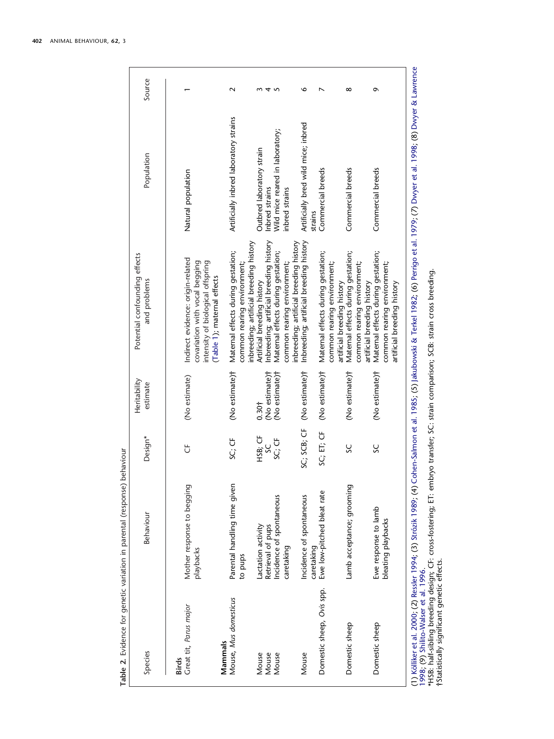|                                                       | Behaviour                    | Design*                                       | Heritability<br>estimate                                          | Potential confounding effects<br>and problems                                                                                                                                          | Population                                                                                       | Source |
|-------------------------------------------------------|------------------------------|-----------------------------------------------|-------------------------------------------------------------------|----------------------------------------------------------------------------------------------------------------------------------------------------------------------------------------|--------------------------------------------------------------------------------------------------|--------|
| playbacks                                             | Mother response to begging   | Ğ                                             | (No estimate)                                                     | Indirect evidence: origin-related<br>covariation with vocal begging<br>intensity of biological offspring<br>(Table 1); maternal effects                                                | Natural population                                                                               |        |
| to pups                                               | Parental handling time given | SC; CF                                        | (No estimate) <sup>†</sup>                                        | Maternal effects during gestation;<br>common rearing environment;                                                                                                                      | Artificially inbred laboratory strains                                                           | $\sim$ |
| Lactation activity<br>Retrieval of pups<br>caretaking | Incidence of spontaneous     | HSB; CF<br>SC; CF<br>$\overline{\mathcal{S}}$ | (No estimate) <sup>†</sup><br>(No estimate)†<br>0.30 <sup>†</sup> | Inbreeding; artificial breeding history<br>inbreeding; artificial breeding history<br>Maternal effects during gestation;<br>common rearing environment;<br>Artificial breeding history | Wild mice reared in laboratory;<br>Outbred laboratory strain<br>Inbred strains<br>inbred strains | 4      |
| caretaking                                            | Incidence of spontaneous     |                                               | SC; SCB; CF (No estimate)t                                        | Inbreeding; artificial breeding history<br>inbreeding; artificial breeding history                                                                                                     | Artificially bred wild mice; inbred<br>strains                                                   | ৩      |
|                                                       | Ewe low-pitched bleat rate   | SC: ET; CF                                    | (No estimate) <sup>†</sup>                                        | Maternal effects during gestation;<br>common rearing environment;<br>artificial breeding history                                                                                       | Commercial breeds                                                                                |        |
|                                                       | Lamb acceptance; grooming    | SC                                            | (No estimate) <sup>†</sup>                                        | Maternal effects during gestation;<br>common rearing environment;<br>artificial breeding history                                                                                       | Commercial breeds                                                                                | ∞      |
| Ewe response to lamb<br>bleating playbacks            |                              | SC                                            | (No estimate) <sup>†</sup>                                        | Maternal effects during gestation;<br>common rearing environment;<br>artificial breeding history                                                                                       | Commercial breeds                                                                                | ۰      |

<span id="page-7-0"></span>Table 2. Evidence for genetic variation in parental (response) behaviour **Table 2.** Evidence for genetic variation in parental (response) behaviour

(1) Kölliker et al. 2000; (2) Ressler 1994; (3) Strózik 1989; (4) Cohen-Salmon et al. 1985; (3) Jakubowski & Terkel 1982; (6) Perrigo et al. 1979; (7) Dwyer et al. 1998; (8) Dwyer & Lawrence<br>1998; (9) Shilito-Walser et al. (1) [Ko¨lliker](#page-11-13) [et](#page-11-13) [al.](#page-11-13) [2000;](#page-11-13) (2) [Ressler](#page-11-12) [1994;](#page-11-12) (3) [Stro´zik](#page-11-10) [1989](#page-11-10); (4) [Cohen-Salmon](#page-10-35) [et](#page-10-35) [al.](#page-10-35) [1985;](#page-10-35) (5) [Jakubowski](#page-10-23) [&](#page-10-23) [Terkel](#page-10-23) [1982;](#page-10-23) (6) [Perrigo](#page-11-0) [et](#page-11-0) [al.](#page-11-0) [1979;](#page-11-0) (7) [Dwyer](#page-10-24) [et](#page-10-24) [al.](#page-10-24) [1998;](#page-10-24) (8) [Dwyer](#page-10-36) [&](#page-10-36) [Lawrence](#page-10-36) [1998;](#page-10-36) (9) [Shilito-Walser](#page-11-39) [et](#page-11-39) [al.](#page-11-39) [1996](#page-11-39).

\*HSB: half-sibling breeding design; CF: cross-fostering; ET: embryo transfer; SC: strain comparison; SCB: strain cross breeding. †Statistically significant genetic effects.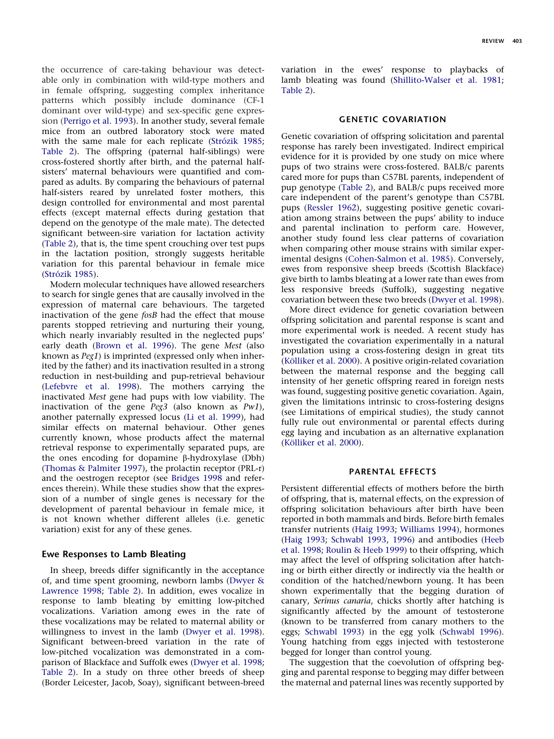the occurrence of care-taking behaviour was detectable only in combination with wild-type mothers and in female offspring, suggesting complex inheritance patterns which possibly include dominance (CF-1 dominant over wild-type) and sex-specific gene expression [\(Perrigo et al. 1993\)](#page-11-38). In another study, several female mice from an outbred laboratory stock were mated with the same male for each replicate (Stró[zik 1985;](#page-11-40) [Table 2\)](#page-7-0). The offspring (paternal half-siblings) were cross-fostered shortly after birth, and the paternal halfsisters' maternal behaviours were quantified and compared as adults. By comparing the behaviours of paternal half-sisters reared by unrelated foster mothers, this design controlled for environmental and most parental effects (except maternal effects during gestation that depend on the genotype of the male mate). The detected significant between-sire variation for lactation activity [\(Table 2\)](#page-7-0), that is, the time spent crouching over test pups in the lactation position, strongly suggests heritable variation for this parental behaviour in female mice (Stró[zik 1985\)](#page-11-40).

Modern molecular techniques have allowed researchers to search for single genes that are causally involved in the expression of maternal care behaviours. The targeted inactivation of the gene *fosB* had the effect that mouse parents stopped retrieving and nurturing their young, which nearly invariably resulted in the neglected pups' early death [\(Brown et al. 1996\)](#page-10-37). The gene *Mest* (also known as *Peg1*) is imprinted (expressed only when inherited by the father) and its inactivation resulted in a strong reduction in nest-building and pup-retrieval behaviour [\(Lefebvre et al. 1998\)](#page-11-41). The mothers carrying the inactivated *Mest* gene had pups with low viability. The inactivation of the gene *Peg3* (also known as *Pw1*), another paternally expressed locus [\(Li et al. 1999\)](#page-11-42), had similar effects on maternal behaviour. Other genes currently known, whose products affect the maternal retrieval response to experimentally separated pups, are the ones encoding for dopamine  $\beta$ -hydroxylase (Dbh) [\(Thomas & Palmiter 1997\)](#page-11-43), the prolactin receptor (PRL-r) and the oestrogen receptor (see [Bridges 1998](#page-10-38) and references therein). While these studies show that the expression of a number of single genes is necessary for the development of parental behaviour in female mice, it is not known whether different alleles (i.e. genetic variation) exist for any of these genes.

#### **Ewe Responses to Lamb Bleating**

In sheep, breeds differ significantly in the acceptance of, and time spent grooming, newborn lambs [\(Dwyer &](#page-10-36) [Lawrence 1998;](#page-10-36) [Table 2\)](#page-7-0). In addition, ewes vocalize in response to lamb bleating by emitting low-pitched vocalizations. Variation among ewes in the rate of these vocalizations may be related to maternal ability or willingness to invest in the lamb [\(Dwyer et al. 1998\)](#page-10-24). Significant between-breed variation in the rate of low-pitched vocalization was demonstrated in a comparison of Blackface and Suffolk ewes [\(Dwyer et al. 1998;](#page-10-24) [Table 2\)](#page-7-0). In a study on three other breeds of sheep (Border Leicester, Jacob, Soay), significant between-breed variation in the ewes' response to playbacks of lamb bleating was found [\(Shillito-Walser et al. 1981;](#page-11-44) [Table 2\)](#page-7-0).

## **GENETIC COVARIATION**

Genetic covariation of offspring solicitation and parental response has rarely been investigated. Indirect empirical evidence for it is provided by one study on mice where pups of two strains were cross-fostered. BALB/c parents cared more for pups than C57BL parents, independent of pup genotype [\(Table 2\)](#page-7-0), and BALB/c pups received more care independent of the parent's genotype than C57BL pups [\(Ressler 1962\)](#page-11-27), suggesting positive genetic covariation among strains between the pups' ability to induce and parental inclination to perform care. However, another study found less clear patterns of covariation when comparing other mouse strains with similar experimental designs [\(Cohen-Salmon et al. 1985\)](#page-10-35). Conversely, ewes from responsive sheep breeds (Scottish Blackface) give birth to lambs bleating at a lower rate than ewes from less responsive breeds (Suffolk), suggesting negative covariation between these two breeds [\(Dwyer et al. 1998\)](#page-10-24).

More direct evidence for genetic covariation between offspring solicitation and parental response is scant and more experimental work is needed. A recent study has investigated the covariation experimentally in a natural population using a cross-fostering design in great tits (Kölliker et al. 2000). A positive origin-related covariation between the maternal response and the begging call intensity of her genetic offspring reared in foreign nests was found, suggesting positive genetic covariation. Again, given the limitations intrinsic to cross-fostering designs (see Limitations of empirical studies), the study cannot fully rule out environmental or parental effects during egg laying and incubation as an alternative explanation (Kölliker et al. 2000).

# **PARENTAL EFFECTS**

Persistent differential effects of mothers before the birth of offspring, that is, maternal effects, on the expression of offspring solicitation behaviours after birth have been reported in both mammals and birds. Before birth females transfer nutrients [\(Haig 1993;](#page-10-18) [Williams 1994\)](#page-12-5), hormones [\(Haig 1993;](#page-10-18) [Schwabl 1993,](#page-11-14) [1996\)](#page-11-39) and antibodies [\(Heeb](#page-10-39) [et al. 1998;](#page-10-39) [Roulin & Heeb 1999\)](#page-11-45) to their offspring, which may affect the level of offspring solicitation after hatching or birth either directly or indirectly via the health or condition of the hatched/newborn young. It has been shown experimentally that the begging duration of canary, *Serinus canaria*, chicks shortly after hatching is significantly affected by the amount of testosterone (known to be transferred from canary mothers to the eggs; [Schwabl 1993\)](#page-11-14) in the egg yolk [\(Schwabl 1996\)](#page-11-39). Young hatching from eggs injected with testosterone begged for longer than control young.

The suggestion that the coevolution of offspring begging and parental response to begging may differ between the maternal and paternal lines was recently supported by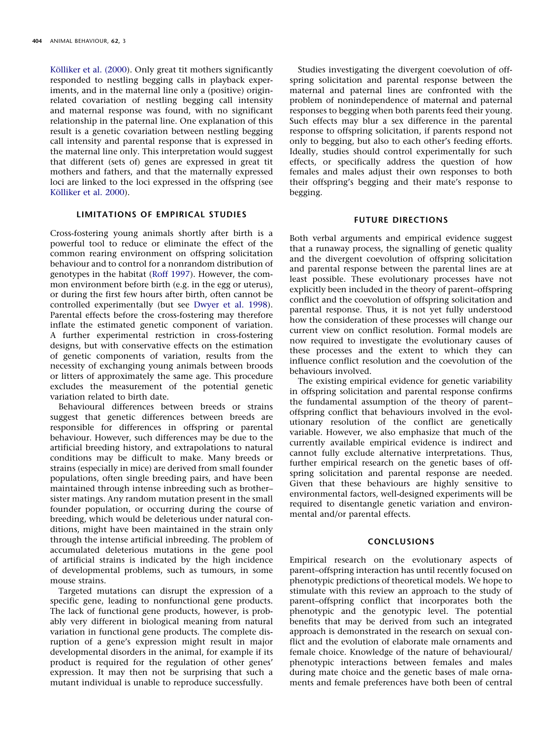Kölliker et al. (2000). Only great tit mothers significantly responded to nestling begging calls in playback experiments, and in the maternal line only a (positive) originrelated covariation of nestling begging call intensity and maternal response was found, with no significant relationship in the paternal line. One explanation of this result is a genetic covariation between nestling begging call intensity and parental response that is expressed in the maternal line only. This interpretation would suggest that different (sets of) genes are expressed in great tit mothers and fathers, and that the maternally expressed loci are linked to the loci expressed in the offspring (see Kölliker et al. 2000).

# **LIMITATIONS OF EMPIRICAL STUDIES**

Cross-fostering young animals shortly after birth is a powerful tool to reduce or eliminate the effect of the common rearing environment on offspring solicitation behaviour and to control for a nonrandom distribution of genotypes in the habitat [\(Roff 1997\)](#page-11-15). However, the common environment before birth (e.g. in the egg or uterus), or during the first few hours after birth, often cannot be controlled experimentally (but see [Dwyer et al. 1998\)](#page-10-24). Parental effects before the cross-fostering may therefore inflate the estimated genetic component of variation. A further experimental restriction in cross-fostering designs, but with conservative effects on the estimation of genetic components of variation, results from the necessity of exchanging young animals between broods or litters of approximately the same age. This procedure excludes the measurement of the potential genetic variation related to birth date.

Behavioural differences between breeds or strains suggest that genetic differences between breeds are responsible for differences in offspring or parental behaviour. However, such differences may be due to the artificial breeding history, and extrapolations to natural conditions may be difficult to make. Many breeds or strains (especially in mice) are derived from small founder populations, often single breeding pairs, and have been maintained through intense inbreeding such as brother– sister matings. Any random mutation present in the small founder population, or occurring during the course of breeding, which would be deleterious under natural conditions, might have been maintained in the strain only through the intense artificial inbreeding. The problem of accumulated deleterious mutations in the gene pool of artificial strains is indicated by the high incidence of developmental problems, such as tumours, in some mouse strains.

Targeted mutations can disrupt the expression of a specific gene, leading to nonfunctional gene products. The lack of functional gene products, however, is probably very different in biological meaning from natural variation in functional gene products. The complete disruption of a gene's expression might result in major developmental disorders in the animal, for example if its product is required for the regulation of other genes' expression. It may then not be surprising that such a mutant individual is unable to reproduce successfully.

Studies investigating the divergent coevolution of offspring solicitation and parental response between the maternal and paternal lines are confronted with the problem of nonindependence of maternal and paternal responses to begging when both parents feed their young. Such effects may blur a sex difference in the parental response to offspring solicitation, if parents respond not only to begging, but also to each other's feeding efforts. Ideally, studies should control experimentally for such effects, or specifically address the question of how females and males adjust their own responses to both their offspring's begging and their mate's response to begging.

# **FUTURE DIRECTIONS**

Both verbal arguments and empirical evidence suggest that a runaway process, the signalling of genetic quality and the divergent coevolution of offspring solicitation and parental response between the parental lines are at least possible. These evolutionary processes have not explicitly been included in the theory of parent–offspring conflict and the coevolution of offspring solicitation and parental response. Thus, it is not yet fully understood how the consideration of these processes will change our current view on conflict resolution. Formal models are now required to investigate the evolutionary causes of these processes and the extent to which they can influence conflict resolution and the coevolution of the behaviours involved.

The existing empirical evidence for genetic variability in offspring solicitation and parental response confirms the fundamental assumption of the theory of parent– offspring conflict that behaviours involved in the evolutionary resolution of the conflict are genetically variable. However, we also emphasize that much of the currently available empirical evidence is indirect and cannot fully exclude alternative interpretations. Thus, further empirical research on the genetic bases of offspring solicitation and parental response are needed. Given that these behaviours are highly sensitive to environmental factors, well-designed experiments will be required to disentangle genetic variation and environmental and/or parental effects.

## **CONCLUSIONS**

Empirical research on the evolutionary aspects of parent–offspring interaction has until recently focused on phenotypic predictions of theoretical models. We hope to stimulate with this review an approach to the study of parent–offspring conflict that incorporates both the phenotypic and the genotypic level. The potential benefits that may be derived from such an integrated approach is demonstrated in the research on sexual conflict and the evolution of elaborate male ornaments and female choice. Knowledge of the nature of behavioural/ phenotypic interactions between females and males during mate choice and the genetic bases of male ornaments and female preferences have both been of central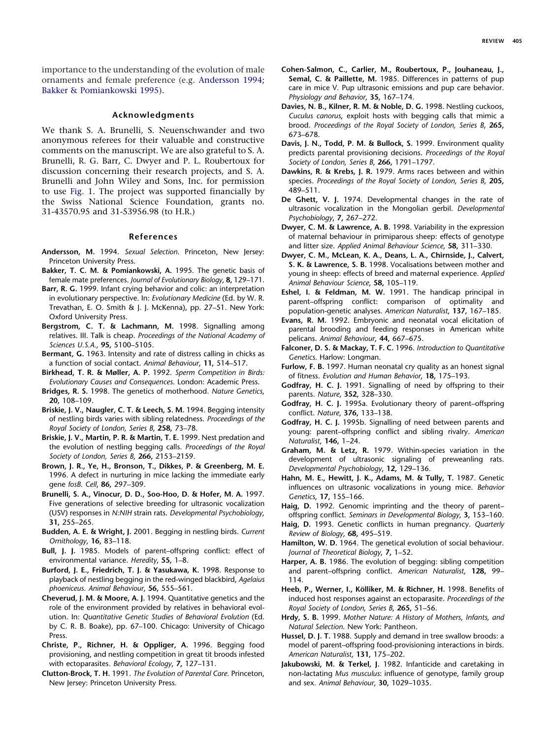importance to the understanding of the evolution of male ornaments and female preference (e.g. [Andersson 1994;](#page-10-28) [Bakker & Pomiankowski 1995\)](#page-10-40).

#### **Acknowledgments**

We thank S. A. Brunelli, S. Neuenschwander and two anonymous referees for their valuable and constructive comments on the manuscript. We are also grateful to S. A. Brunelli, R. G. Barr, C. Dwyer and P. L. Roubertoux for discussion concerning their research projects, and S. A. Brunelli and John Wiley and Sons, Inc. for permission to use [Fig. 1.](#page-5-0) The project was supported financially by the Swiss National Science Foundation, grants no. 31-43570.95 and 31-53956.98 (to H.R.)

#### **References**

- <span id="page-10-28"></span>**Andersson, M.** 1994. *Sexual Selection*. Princeton, New Jersey: Princeton University Press.
- <span id="page-10-40"></span>**Bakker, T. C. M. & Pomiankowski, A.** 1995. The genetic basis of female mate preferences. *Journal of Evolutionary Biology*, **8,** 129–171.
- <span id="page-10-33"></span>**Barr, R. G.** 1999. Infant crying behavior and colic: an interpretation in evolutionary perspective. In: *Evolutionary Medicine* (Ed. by W. R. Trevathan, E. O. Smith & J. J. McKenna), pp. 27–51. New York: Oxford University Press.
- <span id="page-10-12"></span>**Bergstrom, C. T. & Lachmann, M.** 1998. Signalling among relatives. III. Talk is cheap. *Proceedings of the National Academy of Sciences U.S.A.*, **95,** 5100–5105.
- <span id="page-10-20"></span>**Bermant, G.** 1963. Intensity and rate of distress calling in chicks as a function of social contact. *Animal Behaviour*, **11,** 514–517.
- <span id="page-10-19"></span>**Birkhead, T. R. & Møller, A. P.** 1992. *Sperm Competition in Birds: Evolutionary Causes and Consequences*. London: Academic Press.
- <span id="page-10-38"></span>**Bridges, R. S.** 1998. The genetics of motherhood. *Nature Genetics*, **20,** 108–109.
- <span id="page-10-29"></span>**Briskie, J. V., Naugler, C. T. & Leech, S. M.** 1994. Begging intensity of nestling birds varies with sibling relatedness. *Proceedings of the Royal Society of London, Series B*, **258,** 73–78.
- <span id="page-10-30"></span>**Briskie, J. V., Martin, P. R. & Martin, T. E.** 1999. Nest predation and the evolution of nestling begging calls. *Proceedings of the Royal Society of London, Series B*, **266,** 2153–2159.
- <span id="page-10-37"></span>**Brown, J. R., Ye, H., Bronson, T., Dikkes, P. & Greenberg, M. E.** 1996. A defect in nurturing in mice lacking the immediate early gene *fosB*. *Cell*, **86,** 297–309.
- <span id="page-10-8"></span>**Brunelli, S. A., Vinocur, D. D., Soo-Hoo, D. & Hofer, M. A.** 1997. Five generations of selective breeding for ultrasonic vocalization (USV) responses in *N:NIH* strain rats. *Developmental Psychobiology*, **31,** 255–265.
- <span id="page-10-5"></span>**Budden, A. E. & Wright, J.** 2001. Begging in nestling birds. *Current Ornithology*, **16,** 83–118.
- <span id="page-10-11"></span>**Bull, J. J.** 1985. Models of parent–offspring conflict: effect of environmental variance. *Heredity*, **55,** 1–8.
- <span id="page-10-26"></span>**Burford, J. E., Friedrich, T. J. & Yasukawa, K.** 1998. Response to playback of nestling begging in the red-winged blackbird, *Agelaius phoeniceus*. *Animal Behaviour*, **56,** 555–561.
- <span id="page-10-6"></span>**Cheverud, J. M. & Moore, A. J.** 1994. Quantitative genetics and the role of the environment provided by relatives in behavioral evolution. In: *Quantitative Genetic Studies of Behavioral Evolution* (Ed. by C. R. B. Boake), pp. 67–100. Chicago: University of Chicago Press.
- <span id="page-10-25"></span>**Christe, P., Richner, H. & Oppliger, A.** 1996. Begging food provisioning, and nestling competition in great tit broods infested with ectoparasites. *Behavioral Ecology*, **7,** 127–131.
- <span id="page-10-16"></span>**Clutton-Brock, T. H.** 1991. *The Evolution of Parental Care*. Princeton, New Jersey: Princeton University Press.
- <span id="page-10-35"></span>**Cohen-Salmon, C., Carlier, M., Roubertoux, P., Jouhaneau, J., Semal, C. & Paillette, M.** 1985. Differences in patterns of pup care in mice V. Pup ultrasonic emissions and pup care behavior. *Physiology and Behavior*, **35,** 167–174.
- <span id="page-10-27"></span>**Davies, N. B., Kilner, R. M. & Noble, D. G.** 1998. Nestling cuckoos, *Cuculus canorus*, exploit hosts with begging calls that mimic a brood. *Proceedings of the Royal Society of London, Series B*, **265,** 673–678.
- <span id="page-10-1"></span>**Davis, J. N., Todd, P. M. & Bullock, S.** 1999. Environment quality predicts parental provisioning decisions. *Proceedings of the Royal Society of London, Series B*, **266,** 1791–1797.
- <span id="page-10-10"></span>**Dawkins, R. & Krebs, J. R.** 1979. Arms races between and within species. *Proceedings of the Royal Society of London, Series B*, **205,** 489–511.
- <span id="page-10-32"></span>**De Ghett, V. J.** 1974. Developmental changes in the rate of ultrasonic vocalization in the Mongolian gerbil. *Developmental Psychobiology*, **7,** 267–272.
- <span id="page-10-36"></span>**Dwyer, C. M. & Lawrence, A. B.** 1998. Variability in the expression of maternal behaviour in primiparous sheep: effects of genotype and litter size. *Applied Animal Behaviour Science*, **58,** 311–330.
- <span id="page-10-24"></span>**Dwyer, C. M., McLean, K. A., Deans, L. A., Chirnside, J., Calvert, S. K. & Lawrence, S. B.** 1998. Vocalisations between mother and young in sheep: effects of breed and maternal experience. *Applied Animal Behaviour Science*, **58,** 105–119.
- <span id="page-10-14"></span>**Eshel, I. & Feldman, M. W.** 1991. The handicap principal in parent–offspring conflict: comparison of optimality and population-genetic analyses. *American Naturalist*, **137,** 167–185.
- <span id="page-10-7"></span>**Evans, R. M.** 1992. Embryonic and neonatal vocal elicitation of parental brooding and feeding responses in American white pelicans. *Animal Behaviour*, **44,** 667–675.
- <span id="page-10-9"></span>**Falconer, D. S. & Mackay, T. F. C.** 1996. *Introduction to Quantitative Genetics*. Harlow: Longman.
- <span id="page-10-34"></span>**Furlow, F. B.** 1997. Human neonatal cry quality as an honest signal of fitness. *Evolution and Human Behavior*, **18,** 175–193.
- <span id="page-10-3"></span>**Godfray, H. C. J.** 1991. Signalling of need by offspring to their parents. *Nature*, **352,** 328–330.
- <span id="page-10-2"></span>**Godfray, H. C. J.** 1995a. Evolutionary theory of parent–offspring conflict. *Nature*, **376,** 133–138.
- <span id="page-10-4"></span>**Godfray, H. C. J.** 1995b. Signalling of need between parents and young: parent–offspring conflict and sibling rivalry. *American Naturalist*, **146,** 1–24.
- <span id="page-10-21"></span>**Graham, M. & Letz, R.** 1979. Within-species variation in the development of ultrasonic signaling of preweanling rats. *Developmental Psychobiology*, **12,** 129–136.
- <span id="page-10-22"></span>**Hahn, M. E., Hewitt, J. K., Adams, M. & Tully, T.** 1987. Genetic influences on ultrasonic vocalizations in young mice. *Behavior Genetics*, **17,** 155–166.
- <span id="page-10-17"></span>**Haig, D.** 1992. Genomic imprinting and the theory of parent– offspring conflict. *Seminars in Developmental Biology*, **3,** 153–160.
- <span id="page-10-18"></span>**Haig, D.** 1993. Genetic conflicts in human pregnancy. *Quarterly Review of Biology*, **68,** 495–519.
- <span id="page-10-13"></span>**Hamilton, W. D.** 1964. The genetical evolution of social behaviour. *Journal of Theoretical Biology*, **7,** 1–52.
- <span id="page-10-0"></span>**Harper, A. B.** 1986. The evolution of begging: sibling competition and parent–offspring conflict. *American Naturalist*, **128,** 99– 114.
- <span id="page-10-39"></span>Heeb, P., Werner, I., Kölliker, M. & Richner, H. 1998. Benefits of induced host responses against an ectoparasite. *Proceedings of the Royal Society of London, Series B*, **265,** 51–56.
- <span id="page-10-15"></span>**Hrdy, S. B.** 1999. *Mother Nature: A History of Mothers, Infants, and Natural Selection*. New York: Pantheon.
- <span id="page-10-31"></span>**Hussel, D. J. T.** 1988. Supply and demand in tree swallow broods: a model of parent–offspring food-provisioning interactions in birds. *American Naturalist*, **131,** 175–202.
- <span id="page-10-23"></span>**Jakubowski, M. & Terkel, J.** 1982. Infanticide and caretaking in non-lactating *Mus musculus*: influence of genotype, family group and sex. *Animal Behaviour*, **30,** 1029–1035.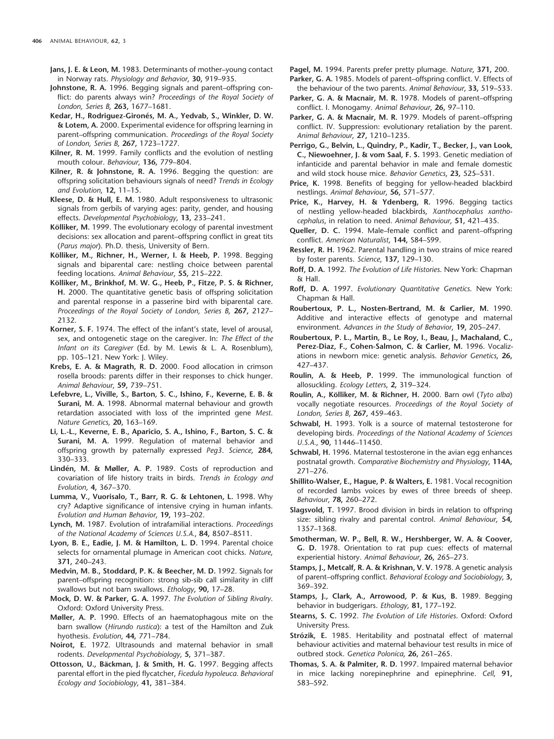- <span id="page-11-34"></span>**Jans, J. E. & Leon, M.** 1983. Determinants of mother–young contact in Norway rats. *Physiology and Behavior*, **30,** 919–935.
- <span id="page-11-5"></span>**Johnstone, R. A.** 1996. Begging signals and parent–offspring conflict: do parents always win? *Proceedings of the Royal Society of London, Series B*, **263,** 1677–1681.
- <span id="page-11-11"></span>Kedar, H., Rodriguez-Gironés, M. A., Yedvab, S., Winkler, D. W. **& Lotem, A.** 2000. Experimental evidence for offspring learning in parent–offspring communication. *Proceedings of the Royal Society of London, Series B*, **267,** 1723–1727.
- <span id="page-11-19"></span>**Kilner, R. M.** 1999. Family conflicts and the evolution of nestling mouth colour. *Behaviour*, **136,** 779–804.
- <span id="page-11-6"></span>**Kilner, R. & Johnstone, R. A.** 1996. Begging the question: are offspring solicitation behaviours signals of need? *Trends in Ecology and Evolution*, **12,** 11–15.
- <span id="page-11-36"></span>**Kleese, D. & Hull, E. M.** 1980. Adult responsiveness to ultrasonic signals from gerbils of varying ages: parity, gender, and housing effects. *Developmental Psychobiology*, **13,** 233–241.
- <span id="page-11-8"></span>Kölliker, M. 1999. The evolutionary ecology of parental investment decisions: sex allocation and parent–offspring conflict in great tits (*Parus major*). Ph.D. thesis, University of Bern.
- <span id="page-11-7"></span>Kölliker, M., Richner, H., Werner, I. & Heeb, P. 1998. Begging signals and biparental care: nestling choice between parental feeding locations. *Animal Behaviour*, **55,** 215–222.
- <span id="page-11-13"></span>Kölliker, M., Brinkhof, M. W. G., Heeb, P., Fitze, P. S. & Richner, **H.** 2000. The quantitative genetic basis of offspring solicitation and parental response in a passerine bird with biparental care. *Proceedings of the Royal Society of London, Series B*, **267,** 2127– 2132.
- <span id="page-11-28"></span>**Korner, S. F.** 1974. The effect of the infant's state, level of arousal, sex, and ontogenetic stage on the caregiver. In: *The Effect of the Infant on its Caregiver* (Ed. by M. Lewis & L. A. Rosenblum), pp. 105–121. New York: J. Wiley.
- **Krebs, E. A. & Magrath, R. D.** 2000. Food allocation in crimson rosella broods: parents differ in their responses to chick hunger. *Animal Behaviour*, **59,** 739–751.
- <span id="page-11-41"></span>**Lefebvre, L., Viville, S., Barton, S. C., Ishino, F., Keverne, E. B. & Surani, M. A.** 1998. Abnormal maternal behaviour and growth retardation associated with loss of the imprinted gene *Mest*. *Nature Genetics*, **20,** 163–169.
- <span id="page-11-42"></span>**Li, L.-L., Keverne, E. B., Aparicio, S. A., Ishino, F., Barton, S. C. & Surani, M. A.** 1999. Regulation of maternal behavior and offspring growth by paternally expressed *Peg3*. *Science*, **284,** 330–333.
- <span id="page-11-16"></span>Lindén, M. & Møller, A. P. 1989. Costs of reproduction and covariation of life history traits in birds. *Trends in Ecology and Evolution*, **4,** 367–370.
- <span id="page-11-24"></span>**Lumma, V., Vuorisalo, T., Barr, R. G. & Lehtonen, L.** 1998. Why cry? Adaptive significance of intensive crying in human infants. *Evolution and Human Behavior*, **19,** 193–202.
- <span id="page-11-21"></span>**Lynch, M.** 1987. Evolution of intrafamilial interactions. *Proceedings of the National Academy of Sciences U.S.A.*, **84,** 8507–8511.
- <span id="page-11-23"></span>**Lyon, B. E., Eadie, J. M. & Hamilton, L. D.** 1994. Parental choice selects for ornamental plumage in American coot chicks. *Nature*, **371,** 240–243.
- <span id="page-11-25"></span>**Medvin, M. B., Stoddard, P. K. & Beecher, M. D.** 1992. Signals for parent–offspring recognition: strong sib-sib call similarity in cliff swallows but not barn swallows. *Ethology*, **90,** 17–28.
- <span id="page-11-1"></span>**Mock, D. W. & Parker, G. A.** 1997. *The Evolution of Sibling Rivalry*. Oxford: Oxford University Press.
- <span id="page-11-22"></span>**Møller, A. P.** 1990. Effects of an haematophagous mite on the barn swallow (*Hirundo rustica*): a test of the Hamilton and Zuk hyothesis. *Evolution*, **44,** 771–784.
- <span id="page-11-33"></span>**Noirot, E.** 1972. Ultrasounds and maternal behavior in small rodents. *Developmental Psychobiology*, **5,** 371–387.
- <span id="page-11-31"></span>Ottosson, U., Bäckman, J. & Smith, H. G. 1997. Begging affects parental effort in the pied flycatcher, *Ficedula hypoleuca*. *Behavioral Ecology and Sociobiology*, **41,** 381–384.

<span id="page-11-4"></span>**Pagel, M.** 1994. Parents prefer pretty plumage. *Nature*, **371,** 200.

- <span id="page-11-2"></span>**Parker, G. A.** 1985. Models of parent–offspring conflict. V. Effects of the behaviour of the two parents. *Animal Behaviour*, **33,** 519–533.
- <span id="page-11-3"></span>**Parker, G. A. & Macnair, M. R.** 1978. Models of parent–offspring conflict. I. Monogamy. *Animal Behaviour*, **26,** 97–110.
- <span id="page-11-0"></span>**Parker, G. A. & Macnair, M. R.** 1979. Models of parent–offspring conflict. IV. Suppression: evolutionary retaliation by the parent. *Animal Behaviour*, **27,** 1210–1235.
- <span id="page-11-38"></span>**Perrigo, G., Belvin, L., Quindry, P., Kadir, T., Becker, J., van Look, C., Niewoehner, J. & vom Saal, F. S.** 1993. Genetic mediation of infanticide and parental behavior in male and female domestic and wild stock house mice. *Behavior Genetics*, **23,** 525–531.
- <span id="page-11-32"></span>**Price, K.** 1998. Benefits of begging for yellow-headed blackbird nestlings. *Animal Behaviour*, **56,** 571–577.
- <span id="page-11-29"></span>**Price, K., Harvey, H. & Ydenberg, R.** 1996. Begging tactics of nestling yellow-headed blackbirds, *Xanthocephalus xanthocephalus*, in relation to need. *Animal Behaviour*, **51,** 421–435.
- <span id="page-11-12"></span>**Queller, D. C.** 1994. Male–female conflict and parent–offspring conflict. *American Naturalist*, **144,** S84–S99.
- <span id="page-11-27"></span>**Ressler, R. H.** 1962. Parental handling in two strains of mice reared by foster parents. *Science*, **137,** 129–130.
- <span id="page-11-17"></span>**Roff, D. A.** 1992. *The Evolution of Life Histories*. New York: Chapman & Hall.
- <span id="page-11-15"></span>**Roff, D. A.** 1997. *Evolutionary Quantitative Genetics*. New York: Chapman & Hall.
- <span id="page-11-37"></span>**Roubertoux, P. L., Nosten-Bertrand, M. & Carlier, M.** 1990. Additive and interactive effects of genotype and maternal environment. *Advances in the Study of Behavior*, **19,** 205–247.
- <span id="page-11-26"></span>**Roubertoux, P. L., Martin, B., Le Roy, I., Beau, J., Machaland, C., Perez-Diaz, F., Cohen-Salmon, C. & Carlier, M.** 1996. Vocalizations in newborn mice: genetic analysis. *Behavior Genetics*, **26,** 427–437.
- <span id="page-11-45"></span>**Roulin, A. & Heeb, P.** 1999. The immunological function of allosuckling. *Ecology Letters*, **2,** 319–324.
- <span id="page-11-30"></span>**Roulin, A., Ko¨lliker, M. & Richner, H.** 2000. Barn owl (*Tyto alba*) vocally negotiate resources. *Proceedings of the Royal Society of London, Series B*, **267,** 459–463.
- <span id="page-11-14"></span>**Schwabl, H.** 1993. Yolk is a source of maternal testosterone for developing birds. *Proceedings of the National Academy of Sciences U.S.A.*, **90,** 11446–11450.
- <span id="page-11-39"></span>**Schwabl, H.** 1996. Maternal testosterone in the avian egg enhances postnatal growth. *Comparative Biochemistry and Physiology*, **114A,** 271–276.
- <span id="page-11-44"></span>**Shillito-Walser, E., Hague, P. & Walters, E.** 1981. Vocal recognition of recorded lambs voices by ewes of three breeds of sheep. *Behaviour*, **78,** 260–272.
- <span id="page-11-9"></span>**Slagsvold, T.** 1997. Brood division in birds in relation to offspring size: sibling rivalry and parental control. *Animal Behaviour*, **54,** 1357–1368.
- <span id="page-11-35"></span>**Smotherman, W. P., Bell, R. W., Hershberger, W. A. & Coover, G. D.** 1978. Orientation to rat pup cues: effects of maternal experiential history. *Animal Behaviour*, **26,** 265–273.
- <span id="page-11-20"></span>**Stamps, J., Metcalf, R. A. & Krishnan, V. V.** 1978. A genetic analysis of parent–offspring conflict. *Behavioral Ecology and Sociobiology*, **3,** 369–392.
- <span id="page-11-10"></span>**Stamps, J., Clark, A., Arrowood, P. & Kus, B.** 1989. Begging behavior in budgerigars. *Ethology*, **81,** 177–192.
- <span id="page-11-18"></span>**Stearns, S. C.** 1992. *The Evolution of Life Histories*. Oxford: Oxford University Press.
- <span id="page-11-40"></span>Strózik, E. 1985. Heritability and postnatal effect of maternal behaviour activities and maternal behaviour test results in mice of outbred stock. *Genetica Polonica*, **26,** 261–265.
- <span id="page-11-43"></span>**Thomas, S. A. & Palmiter, R. D.** 1997. Impaired maternal behavior in mice lacking norepinephrine and epinephrine. *Cell*, **91,** 583–592.